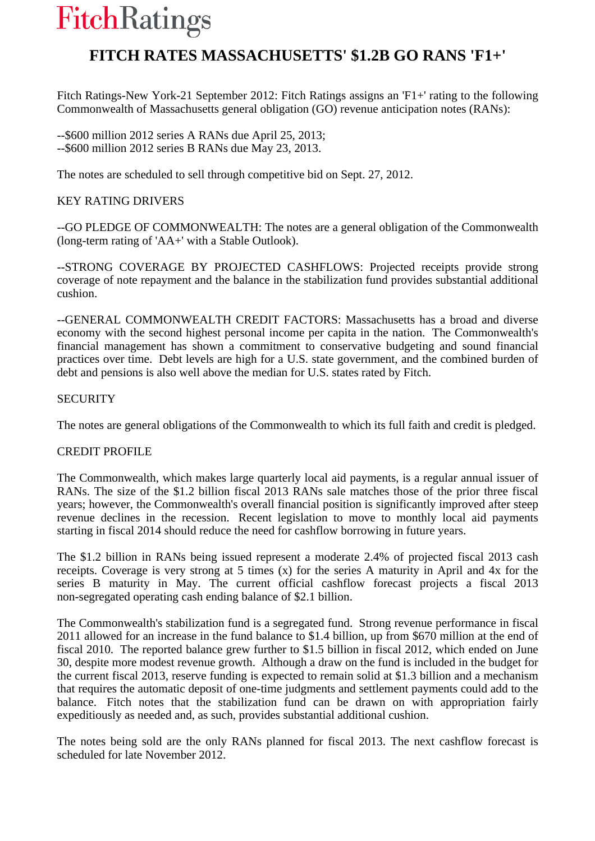# **FitchRatings**

# **FITCH RATES MASSACHUSETTS' \$1.2B GO RANS 'F1+'**

Fitch Ratings-New York-21 September 2012: Fitch Ratings assigns an 'F1+' rating to the following Commonwealth of Massachusetts general obligation (GO) revenue anticipation notes (RANs):

--\$600 million 2012 series A RANs due April 25, 2013; --\$600 million 2012 series B RANs due May 23, 2013.

The notes are scheduled to sell through competitive bid on Sept. 27, 2012.

## KEY RATING DRIVERS

--GO PLEDGE OF COMMONWEALTH: The notes are a general obligation of the Commonwealth (long-term rating of 'AA+' with a Stable Outlook).

--STRONG COVERAGE BY PROJECTED CASHFLOWS: Projected receipts provide strong coverage of note repayment and the balance in the stabilization fund provides substantial additional cushion.

--GENERAL COMMONWEALTH CREDIT FACTORS: Massachusetts has a broad and diverse economy with the second highest personal income per capita in the nation. The Commonwealth's financial management has shown a commitment to conservative budgeting and sound financial practices over time. Debt levels are high for a U.S. state government, and the combined burden of debt and pensions is also well above the median for U.S. states rated by Fitch.

### **SECURITY**

The notes are general obligations of the Commonwealth to which its full faith and credit is pledged.

### CREDIT PROFILE

The Commonwealth, which makes large quarterly local aid payments, is a regular annual issuer of RANs. The size of the \$1.2 billion fiscal 2013 RANs sale matches those of the prior three fiscal years; however, the Commonwealth's overall financial position is significantly improved after steep revenue declines in the recession. Recent legislation to move to monthly local aid payments starting in fiscal 2014 should reduce the need for cashflow borrowing in future years.

The \$1.2 billion in RANs being issued represent a moderate 2.4% of projected fiscal 2013 cash receipts. Coverage is very strong at 5 times (x) for the series A maturity in April and 4x for the series B maturity in May. The current official cashflow forecast projects a fiscal 2013 non-segregated operating cash ending balance of \$2.1 billion.

The Commonwealth's stabilization fund is a segregated fund. Strong revenue performance in fiscal 2011 allowed for an increase in the fund balance to \$1.4 billion, up from \$670 million at the end of fiscal 2010. The reported balance grew further to \$1.5 billion in fiscal 2012, which ended on June 30, despite more modest revenue growth. Although a draw on the fund is included in the budget for the current fiscal 2013, reserve funding is expected to remain solid at \$1.3 billion and a mechanism that requires the automatic deposit of one-time judgments and settlement payments could add to the balance. Fitch notes that the stabilization fund can be drawn on with appropriation fairly expeditiously as needed and, as such, provides substantial additional cushion.

The notes being sold are the only RANs planned for fiscal 2013. The next cashflow forecast is scheduled for late November 2012.